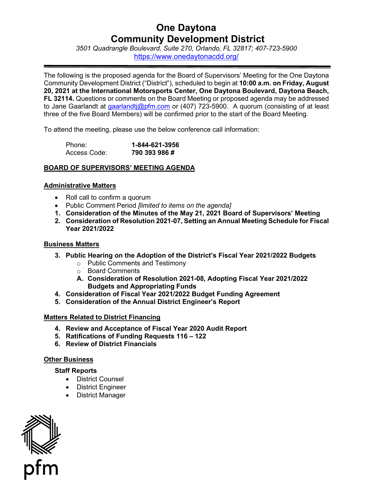# **One Daytona Community Development District**

*3501 Quadrangle Boulevard, Suite 270, Orlando, FL 32817; 407-723-5900*  <https://www.onedaytonacdd.org/>

The following is the proposed agenda for the Board of Supervisors' Meeting for the One Daytona Community Development District ("District"), scheduled to begin at **10:00 a.m. on Friday, August 20, 2021 at the International Motorsports Center, One Daytona Boulevard, Daytona Beach, FL 32114.** Questions or comments on the Board Meeting or proposed agenda may be addressed to Jane Gaarlandt at gaarlandti@pfm.com or (407) 723-5900. A quorum (consisting of at least three of the five Board Members) will be confirmed prior to the start of the Board Meeting.

To attend the meeting, please use the below conference call information:

| Phone:       | 1-844-621-3956 |
|--------------|----------------|
| Access Code: | 790 393 986 #  |

## **BOARD OF SUPERVISORS' MEETING AGENDA**

#### **Administrative Matters**

- Roll call to confirm a quorum
- Public Comment Period *[limited to items on the agenda]*
- **1. Consideration of the Minutes of the May 21, 2021 Board of Supervisors' Meeting**
- **2. Consideration of Resolution 2021-07, Setting an Annual Meeting Schedule for Fiscal Year 2021/2022**

## **Business Matters**

- **3. Public Hearing on the Adoption of the District's Fiscal Year 2021/2022 Budgets** 
	- o Public Comments and Testimony
	- o Board Comments
	- **A. Consideration of Resolution 2021-08, Adopting Fiscal Year 2021/2022 Budgets and Appropriating Funds**
- **4. Consideration of Fiscal Year 2021/2022 Budget Funding Agreement**
- **5. Consideration of the Annual District Engineer's Report**

## **Matters Related to District Financing**

- **4. Review and Acceptance of Fiscal Year 2020 Audit Report**
- **5. Ratifications of Funding Requests 116 122**
- **6. Review of District Financials**

## **Other Business**

## **Staff Reports**

- District Counsel
- District Engineer
- District Manager